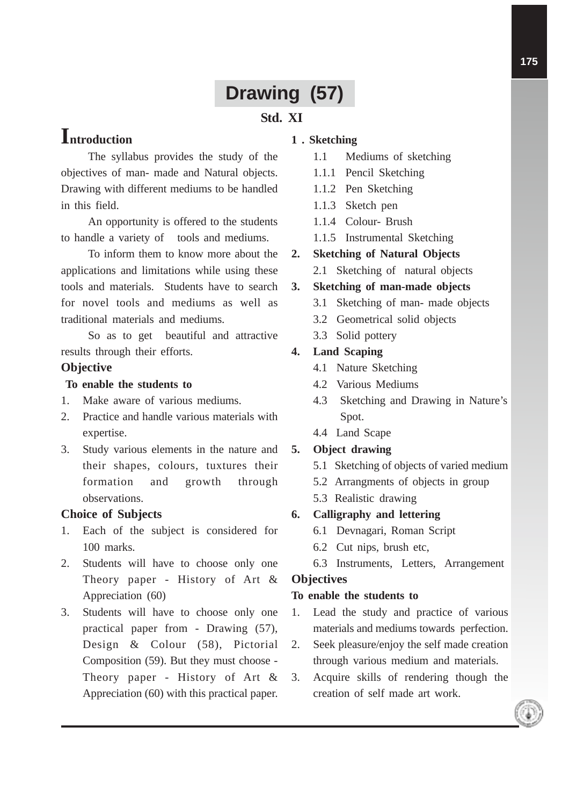# **Drawing (57)**

## **Std. XI**

## **Introduction**

The syllabus provides the study of the objectives of man- made and Natural objects. Drawing with different mediums to be handled in this field.

An opportunity is offered to the students to handle a variety of tools and mediums.

To inform them to know more about the applications and limitations while using these tools and materials. Students have to search for novel tools and mediums as well as traditional materials and mediums.

So as to get beautiful and attractive results through their efforts.

#### **Objective**

#### **To enable the students to**

- 1. Make aware of various mediums.
- 2. Practice and handle various materials with expertise.
- 3. Study various elements in the nature and their shapes, colours, tuxtures their formation and growth through observations.

#### **Choice of Subjects**

- 1. Each of the subject is considered for 100 marks.
- 2. Students will have to choose only one Theory paper - History of Art & Appreciation (60)
- 3. Students will have to choose only one practical paper from - Drawing (57), Design & Colour (58), Pictorial Composition (59). But they must choose - Theory paper - History of Art & Appreciation (60) with this practical paper.

#### **1 . Sketching**

- 1.1 Mediums of sketching
- 1.1.1 Pencil Sketching
- 1.1.2 Pen Sketching
- 1.1.3 Sketch pen
- 1.1.4 Colour- Brush
- 1.1.5 Instrumental Sketching
- **2. Sketching of Natural Objects**
	- 2.1 Sketching of natural objects

#### **3. Sketching of man-made objects**

- 3.1 Sketching of man- made objects
- 3.2 Geometrical solid objects
- 3.3 Solid pottery

#### **4. Land Scaping**

- 4.1 Nature Sketching
- 4.2 Various Mediums
- 4.3 Sketching and Drawing in Nature's Spot.
- 4.4 Land Scape

#### **5. Object drawing**

- 5.1 Sketching of objects of varied medium
- 5.2 Arrangments of objects in group
- 5.3 Realistic drawing

#### **6. Calligraphy and lettering**

- 6.1 Devnagari, Roman Script
- 6.2 Cut nips, brush etc,
- 6.3 Instruments, Letters, Arrangement

#### **Objectives**

#### **To enable the students to**

- 1. Lead the study and practice of various materials and mediums towards perfection.
- 2. Seek pleasure/enjoy the self made creation through various medium and materials.
- 3. Acquire skills of rendering though the creation of self made art work.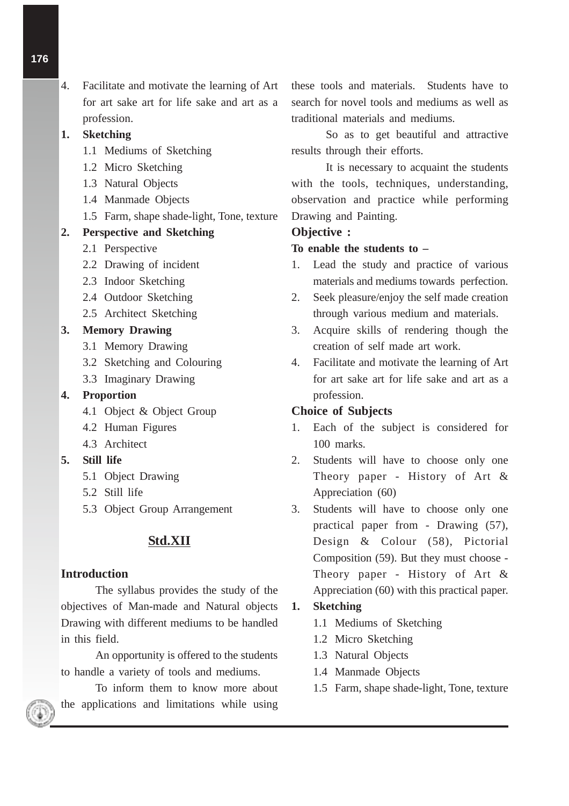4. Facilitate and motivate the learning of Art for art sake art for life sake and art as a profession.

## **1. Sketching**

- 1.1 Mediums of Sketching
- 1.2 Micro Sketching
- 1.3 Natural Objects
- 1.4 Manmade Objects
- 1.5 Farm, shape shade-light, Tone, texture

## **2. Perspective and Sketching**

- 2.1 Perspective
- 2.2 Drawing of incident
- 2.3 Indoor Sketching
- 2.4 Outdoor Sketching
- 2.5 Architect Sketching

## **3. Memory Drawing**

- 3.1 Memory Drawing
- 3.2 Sketching and Colouring
- 3.3 Imaginary Drawing

## **4. Proportion**

- 4.1 Object & Object Group
- 4.2 Human Figures
- 4.3 Architect

## **5. Still life**

- 5.1 Object Drawing
- 5.2 Still life
- 5.3 Object Group Arrangement

## **Std.XII**

## **Introduction**

The syllabus provides the study of the objectives of Man-made and Natural objects Drawing with different mediums to be handled in this field.

An opportunity is offered to the students to handle a variety of tools and mediums.

To inform them to know more about the applications and limitations while using

these tools and materials. Students have to search for novel tools and mediums as well as traditional materials and mediums.

So as to get beautiful and attractive results through their efforts.

It is necessary to acquaint the students with the tools, techniques, understanding, observation and practice while performing Drawing and Painting.

#### **Objective :**

## **To enable the students to –**

- 1. Lead the study and practice of various materials and mediums towards perfection.
- 2. Seek pleasure/enjoy the self made creation through various medium and materials.
- 3. Acquire skills of rendering though the creation of self made art work.
- 4. Facilitate and motivate the learning of Art for art sake art for life sake and art as a profession.

#### **Choice of Subjects**

- 1. Each of the subject is considered for 100 marks.
- 2. Students will have to choose only one Theory paper - History of Art & Appreciation (60)
- 3. Students will have to choose only one practical paper from - Drawing (57), Design & Colour (58), Pictorial Composition (59). But they must choose - Theory paper - History of Art & Appreciation (60) with this practical paper.
- **1. Sketching**
	- 1.1 Mediums of Sketching
	- 1.2 Micro Sketching
	- 1.3 Natural Objects
	- 1.4 Manmade Objects
	- 1.5 Farm, shape shade-light, Tone, texture